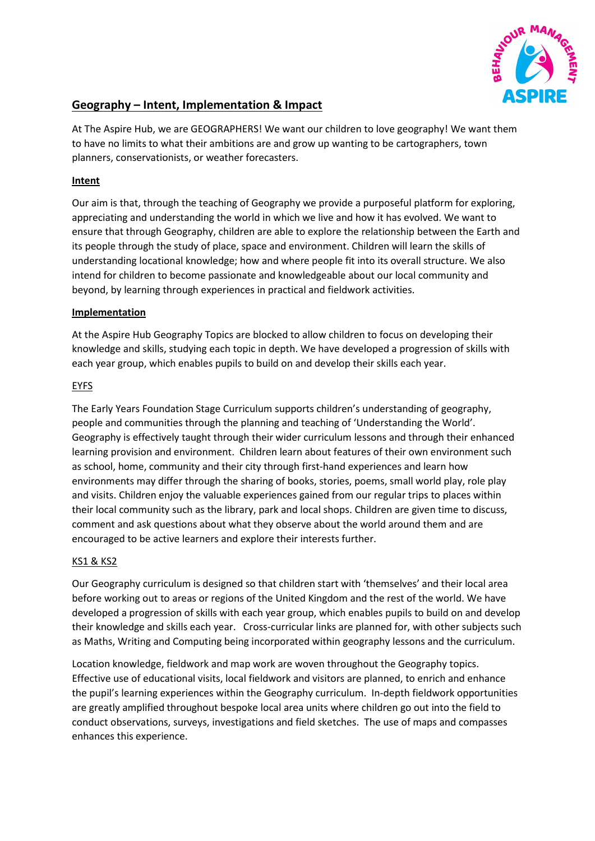

# **Geography – Intent, Implementation & Impact**

At The Aspire Hub, we are GEOGRAPHERS! We want our children to love geography! We want them to have no limits to what their ambitions are and grow up wanting to be cartographers, town planners, conservationists, or weather forecasters.

## **Intent**

Our aim is that, through the teaching of Geography we provide a purposeful platform for exploring, appreciating and understanding the world in which we live and how it has evolved. We want to ensure that through Geography, children are able to explore the relationship between the Earth and its people through the study of place, space and environment. Children will learn the skills of understanding locational knowledge; how and where people fit into its overall structure. We also intend for children to become passionate and knowledgeable about our local community and beyond, by learning through experiences in practical and fieldwork activities.

#### **Implementation**

At the Aspire Hub Geography Topics are blocked to allow children to focus on developing their knowledge and skills, studying each topic in depth. We have developed a progression of skills with each year group, which enables pupils to build on and develop their skills each year.

### EYFS

The Early Years Foundation Stage Curriculum supports children's understanding of geography, people and communities through the planning and teaching of 'Understanding the World'. Geography is effectively taught through their wider curriculum lessons and through their enhanced learning provision and environment. Children learn about features of their own environment such as school, home, community and their city through first-hand experiences and learn how environments may differ through the sharing of books, stories, poems, small world play, role play and visits. Children enjoy the valuable experiences gained from our regular trips to places within their local community such as the library, park and local shops. Children are given time to discuss, comment and ask questions about what they observe about the world around them and are encouraged to be active learners and explore their interests further.

# KS1 & KS2

Our Geography curriculum is designed so that children start with 'themselves' and their local area before working out to areas or regions of the United Kingdom and the rest of the world. We have developed a progression of skills with each year group, which enables pupils to build on and develop their knowledge and skills each year. Cross-curricular links are planned for, with other subjects such as Maths, Writing and Computing being incorporated within geography lessons and the curriculum.

Location knowledge, fieldwork and map work are woven throughout the Geography topics. Effective use of educational visits, local fieldwork and visitors are planned, to enrich and enhance the pupil's learning experiences within the Geography curriculum. In-depth fieldwork opportunities are greatly amplified throughout bespoke local area units where children go out into the field to conduct observations, surveys, investigations and field sketches. The use of maps and compasses enhances this experience.